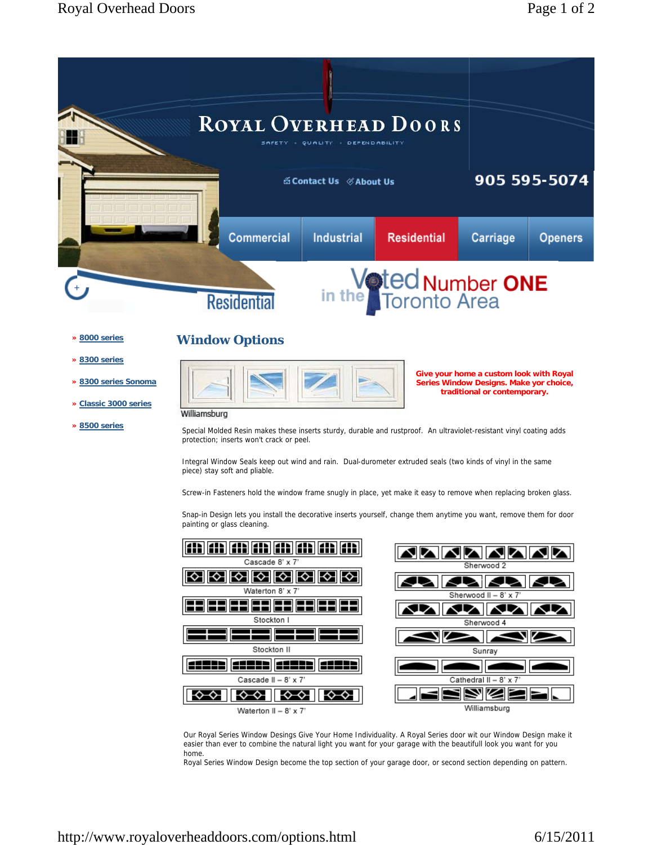# **Window Options**

|--|--|--|

**Give your home a custom look with Royal Series Window Designs. Make yor choice, traditional or contemporary.** 

# Williamsburg

Special Molded Resin makes these inserts sturdy, durable and rustproof. An ultraviolet-resistant vinyl coating adds protection; inserts won't crack or peel.

Integral Window Seals keep out wind and rain. Dual-durometer extruded seals (two kinds of vinyl in the same piece) stay soft and pliable.

Screw-in Fasteners hold the window frame snugly in place, yet make it easy to remove when replacing broken glass.

Snap-in Design lets you install the decorative inserts yourself, change them anytime you want, remove them for door painting or glass cleaning.



Our Royal Series Window Desings Give Your Home Individuality. A Royal Series door wit our Window Design make it easier than ever to combine the natural light you want for your garage with the beautifull look you want for you home.

Royal Series Window Design become the top section of your garage door, or second section depending on pattern.